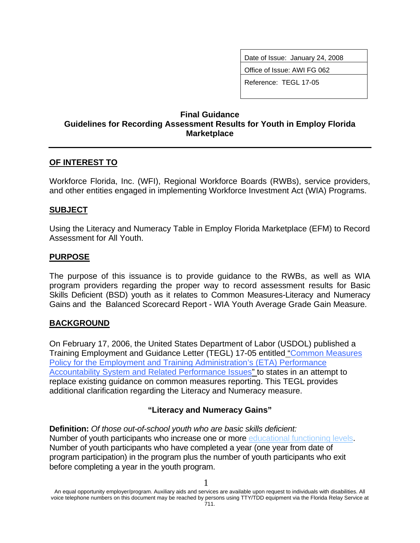Date of Issue: January 24, 2008

Office of Issue: AWI FG 062

Reference: TEGL 17-05

## **Final Guidance Guidelines for Recording Assessment Results for Youth in Employ Florida Marketplace**

## **OF INTEREST TO**

Workforce Florida, Inc. (WFI), Regional Workforce Boards (RWBs), service providers, and other entities engaged in implementing Workforce Investment Act (WIA) Programs.

#### **SUBJECT**

Using the Literacy and Numeracy Table in Employ Florida Marketplace (EFM) to Record Assessment for All Youth.

### **PURPOSE**

The purpose of this issuance is to provide guidance to the RWBs, as well as WIA program providers regarding the proper way to record assessment results for Basic Skills Deficient (BSD) youth as it relates to Common Measures-Literacy and Numeracy Gains and the Balanced Scorecard Report - WIA Youth Average Grade Gain Measure.

### **BACKGROUND**

On February 17, 2006, the United States Department of Labor (USDOL) published a Training Employment and Guidance Letter (TEGL) 17-05 entitled "Common Measures Policy for the Employment and Training Administration's (ETA) Performance Accountability System and Related Performance Issues" to states in an attempt to replace existing guidance on common measures reporting. This TEGL provides additional clarification regarding the Literacy and Numeracy measure.

### **"Literacy and Numeracy Gains"**

**Definition:** *Of those out-of-school youth who are basic skills deficient:*  Number of youth participants who increase one or more educational functioning levels. Number of youth participants who have completed a year (one year from date of program participation) in the program plus the number of youth participants who exit before completing a year in the youth program.

An equal opportunity employer/program. Auxiliary aids and services are available upon request to individuals with disabilities. All voice telephone numbers on this document may be reached by persons using TTY/TDD equipment via the Florida Relay Service at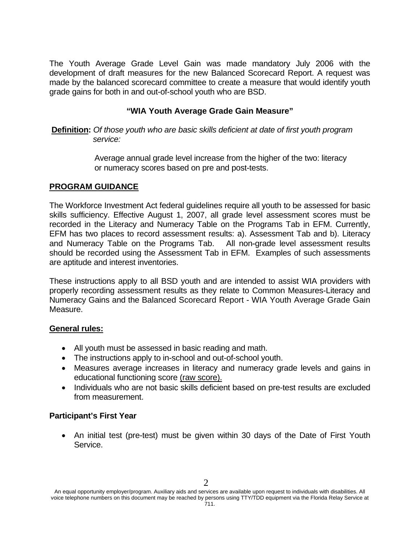The Youth Average Grade Level Gain was made mandatory July 2006 with the development of draft measures for the new Balanced Scorecard Report. A request was made by the balanced scorecard committee to create a measure that would identify youth grade gains for both in and out-of-school youth who are BSD.

### **"WIA Youth Average Grade Gain Measure"**

**Definition:** *Of those youth who are basic skills deficient at date of first youth program*  *service:* 

> Average annual grade level increase from the higher of the two: literacy or numeracy scores based on pre and post-tests.

### **PROGRAM GUIDANCE**

The Workforce Investment Act federal guidelines require all youth to be assessed for basic skills sufficiency. Effective August 1, 2007, all grade level assessment scores must be recorded in the Literacy and Numeracy Table on the Programs Tab in EFM. Currently, EFM has two places to record assessment results: a). Assessment Tab and b). Literacy and Numeracy Table on the Programs Tab. All non-grade level assessment results should be recorded using the Assessment Tab in EFM. Examples of such assessments are aptitude and interest inventories.

These instructions apply to all BSD youth and are intended to assist WIA providers with properly recording assessment results as they relate to Common Measures-Literacy and Numeracy Gains and the Balanced Scorecard Report - WIA Youth Average Grade Gain Measure.

### **General rules:**

- All youth must be assessed in basic reading and math.
- The instructions apply to in-school and out-of-school youth.
- Measures average increases in literacy and numeracy grade levels and gains in educational functioning score (raw score).
- Individuals who are not basic skills deficient based on pre-test results are excluded from measurement.

### **Participant's First Year**

• An initial test (pre-test) must be given within 30 days of the Date of First Youth Service.

An equal opportunity employer/program. Auxiliary aids and services are available upon request to individuals with disabilities. All voice telephone numbers on this document may be reached by persons using TTY/TDD equipment via the Florida Relay Service at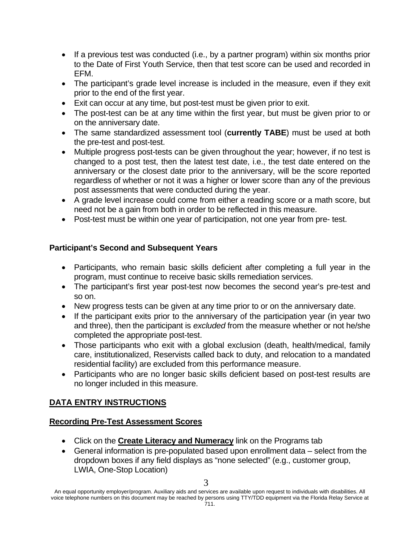- If a previous test was conducted (i.e., by a partner program) within six months prior to the Date of First Youth Service, then that test score can be used and recorded in EFM.
- The participant's grade level increase is included in the measure, even if they exit prior to the end of the first year.
- Exit can occur at any time, but post-test must be given prior to exit.
- The post-test can be at any time within the first year, but must be given prior to or on the anniversary date.
- The same standardized assessment tool (**currently TABE**) must be used at both the pre-test and post-test.
- Multiple progress post-tests can be given throughout the year; however, if no test is changed to a post test, then the latest test date, i.e., the test date entered on the anniversary or the closest date prior to the anniversary, will be the score reported regardless of whether or not it was a higher or lower score than any of the previous post assessments that were conducted during the year.
- A grade level increase could come from either a reading score or a math score, but need not be a gain from both in order to be reflected in this measure.
- Post-test must be within one year of participation, not one year from pre- test.

## **Participant's Second and Subsequent Years**

- Participants, who remain basic skills deficient after completing a full year in the program, must continue to receive basic skills remediation services.
- The participant's first year post-test now becomes the second year's pre-test and so on.
- New progress tests can be given at any time prior to or on the anniversary date.
- If the participant exits prior to the anniversary of the participation year (in year two and three), then the participant is *excluded* from the measure whether or not he/she completed the appropriate post-test.
- Those participants who exit with a global exclusion (death, health/medical, family care, institutionalized, Reservists called back to duty, and relocation to a mandated residential facility) are excluded from this performance measure.
- Participants who are no longer basic skills deficient based on post-test results are no longer included in this measure.

# **DATA ENTRY INSTRUCTIONS**

## **Recording Pre-Test Assessment Scores**

- Click on the **Create Literacy and Numeracy** link on the Programs tab
- General information is pre-populated based upon enrollment data select from the dropdown boxes if any field displays as "none selected" (e.g., customer group, LWIA, One-Stop Location)

An equal opportunity employer/program. Auxiliary aids and services are available upon request to individuals with disabilities. All voice telephone numbers on this document may be reached by persons using TTY/TDD equipment via the Florida Relay Service at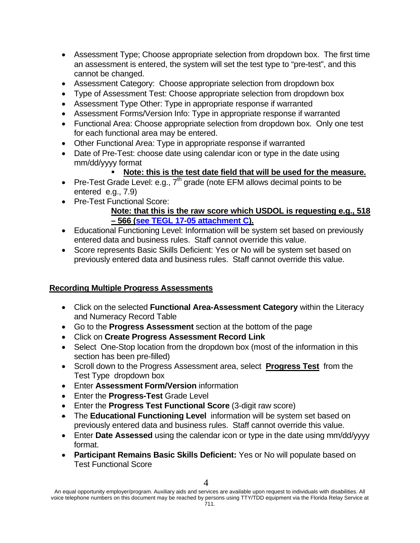- Assessment Type; Choose appropriate selection from dropdown box. The first time an assessment is entered, the system will set the test type to "pre-test", and this cannot be changed.
- Assessment Category: Choose appropriate selection from dropdown box
- Type of Assessment Test: Choose appropriate selection from dropdown box
- Assessment Type Other: Type in appropriate response if warranted
- Assessment Forms/Version Info: Type in appropriate response if warranted
- Functional Area: Choose appropriate selection from dropdown box. Only one test for each functional area may be entered.
- Other Functional Area: Type in appropriate response if warranted
- Date of Pre-Test: choose date using calendar icon or type in the date using mm/dd/yyyy format

## **Note: this is the test date field that will be used for the measure.**

- Pre-Test Grade Level: e.g.,  $7<sup>th</sup>$  grade (note EFM allows decimal points to be entered e.g., 7.9)
- Pre-Test Functional Score:

## **Note: that this is the raw score which USDOL is requesting e.g., 518 – 566 [\(see TEGL 17-05 attachment C\)](http://wdr.doleta.gov/directives/attach/TEGL17-05_AttachC.pdf).**

- Educational Functioning Level: Information will be system set based on previously entered data and business rules. Staff cannot override this value.
- Score represents Basic Skills Deficient: Yes or No will be system set based on previously entered data and business rules. Staff cannot override this value.

# **Recording Multiple Progress Assessments**

- Click on the selected **Functional Area-Assessment Category** within the Literacy and Numeracy Record Table
- Go to the **Progress Assessment** section at the bottom of the page
- Click on **Create Progress Assessment Record Link**
- Select One-Stop location from the dropdown box (most of the information in this section has been pre-filled)
- Scroll down to the Progress Assessment area, select **Progress Test** from the Test Type dropdown box
- Enter **Assessment Form/Version** information
- Enter the **Progress-Test** Grade Level
- Enter the **Progress Test Functional Score** (3-digit raw score)
- The **Educational Functioning Level** information will be system set based on previously entered data and business rules. Staff cannot override this value.
- Enter **Date Assessed** using the calendar icon or type in the date using mm/dd/yyyy format.
- **Participant Remains Basic Skills Deficient:** Yes or No will populate based on Test Functional Score

An equal opportunity employer/program. Auxiliary aids and services are available upon request to individuals with disabilities. All voice telephone numbers on this document may be reached by persons using TTY/TDD equipment via the Florida Relay Service at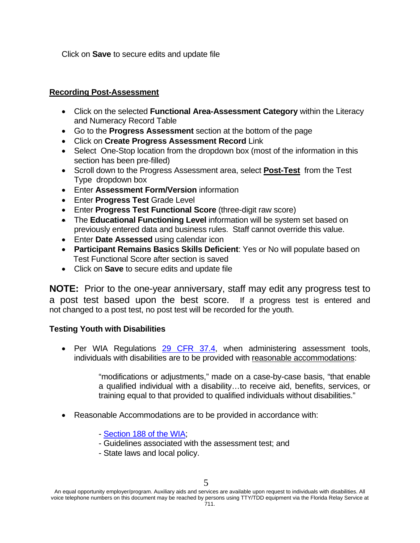Click on **Save** to secure edits and update file

### **Recording Post-Assessment**

- Click on the selected **Functional Area-Assessment Category** within the Literacy and Numeracy Record Table
- Go to the **Progress Assessment** section at the bottom of the page
- Click on **Create Progress Assessment Record** Link
- Select One-Stop location from the dropdown box (most of the information in this section has been pre-filled)
- Scroll down to the Progress Assessment area, select **Post-Test** from the Test Type dropdown box
- Enter **Assessment Form/Version** information
- Enter **Progress Test** Grade Level
- Enter **Progress Test Functional Score** (three-digit raw score)
- The **Educational Functioning Level** information will be system set based on previously entered data and business rules. Staff cannot override this value.
- Enter **Date Assessed** using calendar icon
- **Participant Remains Basics Skills Deficient**: Yes or No will populate based on Test Functional Score after section is saved
- Click on **Save** to secure edits and update file

**NOTE:** Prior to the one-year anniversary, staff may edit any progress test to a post test based upon the best score.If a progress test is entered and not changed to a post test, no post test will be recorded for the youth.

### **Testing Youth with Disabilities**

• Per WIA Regulations [29 CFR 37.4,](http://a257.g.akamaitech.net/7/257/2422/12feb20041500/edocket.access.gpo.gov/cfr_2004/julqtr/29cfr37.4.htm) when administering assessment tools, individuals with disabilities are to be provided with reasonable accommodations:

> "modifications or adjustments," made on a case-by-case basis, "that enable a qualified individual with a disability…to receive aid, benefits, services, or training equal to that provided to qualified individuals without disabilities."

- Reasonable Accommodations are to be provided in accordance with:
	- - [Section 188 of the WIA](http://www.dol.gov/oasam/programs/crc/section188.htm);
	- Guidelines associated with the assessment test; and
	- State laws and local policy.

5